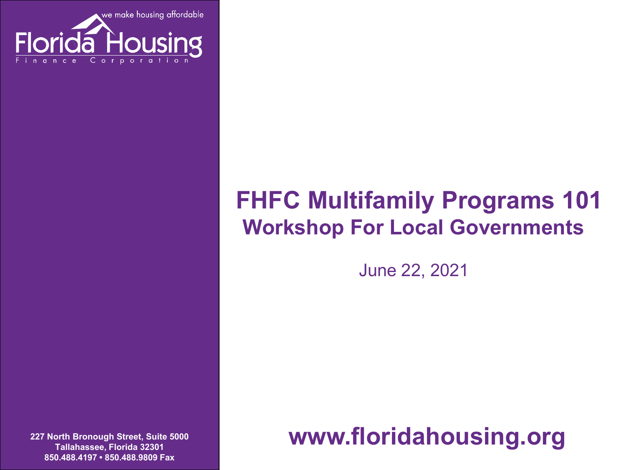

### **FHFC Multifamily Programs 101 Workshop For Local Governments**

June 22, 2021

**227 North Bronough Street, Suite 5000 Tallahassee, Florida 32301 850.488.4197 • 850.488.9809 Fax**

**www.floridahousing.org**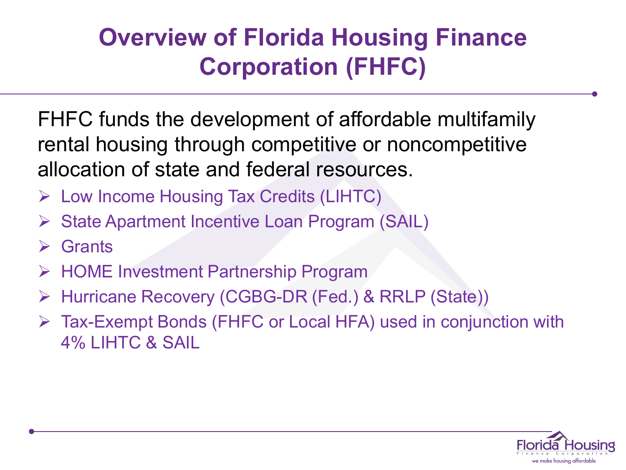### **Overview of Florida Housing Finance Corporation (FHFC)**

FHFC funds the development of affordable multifamily rental housing through competitive or noncompetitive allocation of state and federal resources.

- Low Income Housing Tax Credits (LIHTC)
- State Apartment Incentive Loan Program (SAIL)
- $\triangleright$  Grants
- **► HOME Investment Partnership Program**
- Hurricane Recovery (CGBG-DR (Fed.) & RRLP (State))
- Tax-Exempt Bonds (FHFC or Local HFA) used in conjunction with 4% LIHTC & SAIL

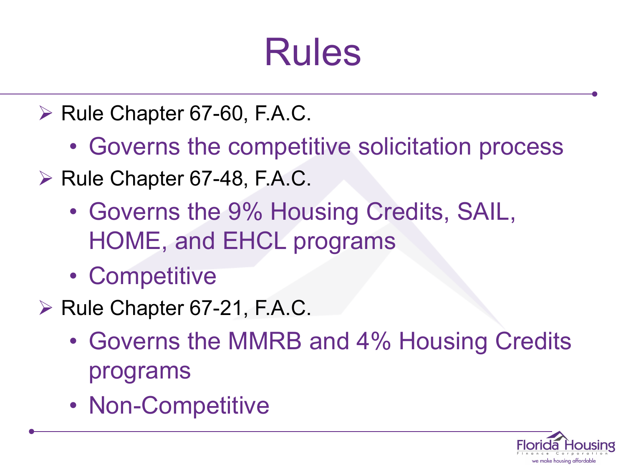## Rules

- $\triangleright$  Rule Chapter 67-60, F.A.C.
	- Governs the competitive solicitation process
- $\triangleright$  Rule Chapter 67-48, F.A.C.
	- Governs the 9% Housing Credits, SAIL, HOME, and EHCL programs
	- Competitive
- $\triangleright$  Rule Chapter 67-21, F.A.C.
	- Governs the MMRB and 4% Housing Credits programs
	- Non-Competitive

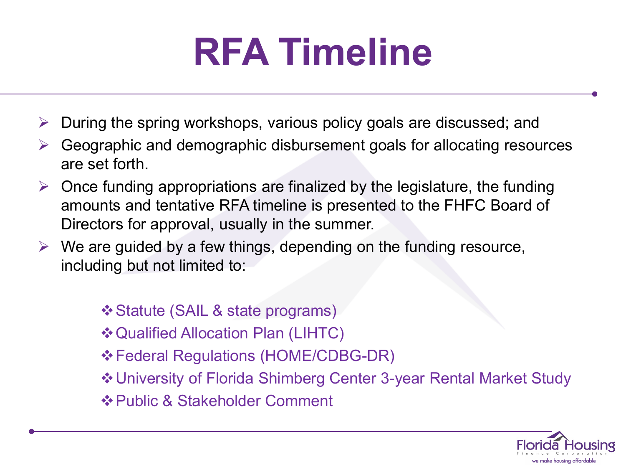## **RFA Timeline**

- During the spring workshops, various policy goals are discussed; and
- Geographic and demographic disbursement goals for allocating resources are set forth.
- $\triangleright$  Once funding appropriations are finalized by the legislature, the funding amounts and tentative RFA timeline is presented to the FHFC Board of Directors for approval, usually in the summer.
- $\triangleright$  We are guided by a few things, depending on the funding resource, including but not limited to:
	- Statute (SAIL & state programs)
	- Qualified Allocation Plan (LIHTC)
	- Federal Regulations (HOME/CDBG-DR)
	- University of Florida Shimberg Center 3-year Rental Market Study
	- $\triangle$  **Public & Stakeholder Comment**

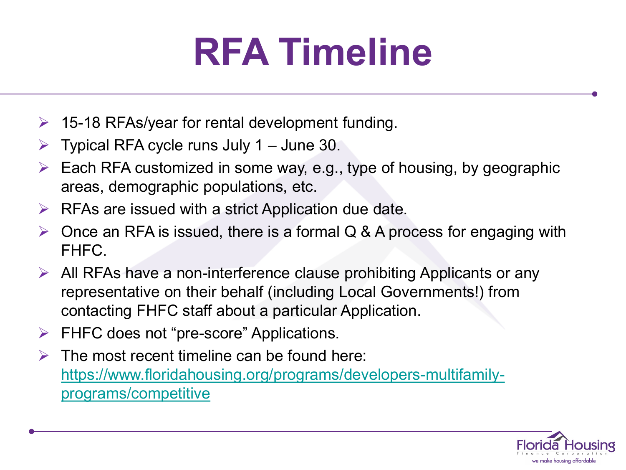# **RFA Timeline**

- $\geq$  15-18 RFAs/year for rental development funding.
- $\triangleright$  Typical RFA cycle runs July 1 June 30.
- $\triangleright$  Each RFA customized in some way, e.g., type of housing, by geographic areas, demographic populations, etc.
- $\triangleright$  RFAs are issued with a strict Application due date.
- $\triangleright$  Once an RFA is issued, there is a formal Q & A process for engaging with FHFC.
- $\triangleright$  All RFAs have a non-interference clause prohibiting Applicants or any representative on their behalf (including Local Governments!) from contacting FHFC staff about a particular Application.
- $\triangleright$  FHFC does not "pre-score" Applications.
- $\triangleright$  The most recent timeline can be found here: [https://www.floridahousing.org/programs/developers-multifamily](https://www.floridahousing.org/programs/developers-multifamily-programs/competitive)programs/competitive

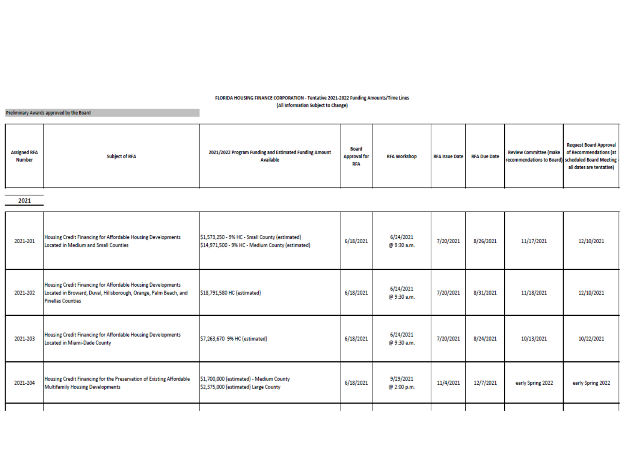#### FLORIDA HOUSING FINANCE CORPORATION - Tentative 2021-2022 Funding Amounts/Time Lines (All Information Subject to Change)

#### Preliminary Awards approved by the Board

2021

| 2021-201 | Housing Credit Financing for Affordable Housing Developments<br>Located in Medium and Small Counties                                                         | \$1,573,250 - 9% HC - Small County (estimated)<br>\$14,971,500 - 9% HC - Medium County (estimated) | 6/18/2021 | 6/24/2021<br>@ 9:30 a.m. | 7/20/2021 | 8/26/2021 | 11/17/2021        | 12/10/2021        |
|----------|--------------------------------------------------------------------------------------------------------------------------------------------------------------|----------------------------------------------------------------------------------------------------|-----------|--------------------------|-----------|-----------|-------------------|-------------------|
| 2021-202 | Housing Credit Financing for Affordable Housing Developments<br>Located in Broward, Duval, Hillsborough, Orange, Palm Beach, and<br><b>Pinellas Counties</b> | \$18,791,580 HC (estimated)                                                                        | 6/18/2021 | 6/24/2021<br>@ 9:30 a.m. | 7/20/2021 | 8/31/2021 | 11/18/2021        | 12/10/2021        |
| 2021-203 | Housing Credit Financing for Affordable Housing Developments<br>Located in Miami-Dade County                                                                 | \$7,263,670 9% HC (estimated)                                                                      | 6/18/2021 | 6/24/2021<br>@ 9:30 a.m. | 7/20/2021 | 8/24/2021 | 10/13/2021        | 10/22/2021        |
| 2021-204 | Housing Credit Financing for the Preservation of Existing Affordable<br><b>Multifamily Housing Developments</b>                                              | \$1,700,000 (estimated) - Medium County<br>\$2,375,000 (estimated) Large County                    | 6/18/2021 | 9/29/2021<br>@ 2:00 p.m. | 11/4/2021 | 12/7/2021 | early Spring 2022 | early Spring 2022 |
|          |                                                                                                                                                              |                                                                                                    |           |                          |           |           |                   |                   |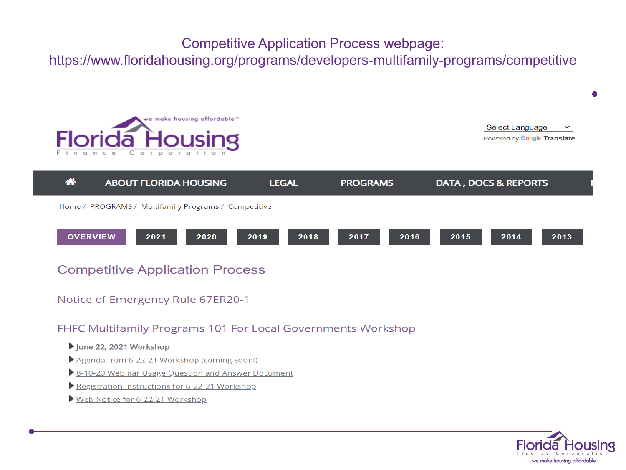### **Competitive Application Process webpage:**

https://www.floridahousing.org/programs/developers-multifamily-programs/competitive



**Select Language**  $\checkmark$ Powered by Google Translate

| 谷 | <b>ABOUT FLORIDA HOUSING</b>                                |      | <b>LEGAL</b> | <b>PROGRAMS</b> |      |      | DATA, DOCS & REPORTS |      |
|---|-------------------------------------------------------------|------|--------------|-----------------|------|------|----------------------|------|
|   | <u>Home / PROGRAMS / Multifamily Programs / Competitive</u> |      |              |                 |      |      |                      |      |
|   | 2021<br><b>OVERVIEW</b>                                     | 2020 | 2019<br>2018 | 2017            | 2016 | 2015 | 2014                 | 2013 |

### **Competitive Application Process**

### Notice of Emergency Rule 67ER20-1

### FHFC Multifamily Programs 101 For Local Governments Workshop

#### June 22, 2021 Workshop

- Agenda from 6-22-21 Workshop (coming soon!)
- 8-10-20 Webinar Usage Question and Answer Document
- Registration Instructions for 6-22-21 Workshop
- Web Notice for 6-22-21 Workshop

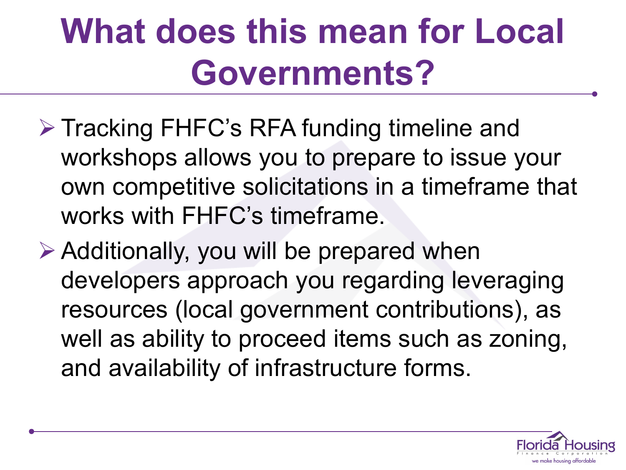## **What does this mean for Local Governments?**

- ▶ Tracking FHFC's RFA funding timeline and workshops allows you to prepare to issue your own competitive solicitations in a timeframe that works with FHFC's timeframe.
- Additionally, you will be prepared when developers approach you regarding leveraging resources (local government contributions), as well as ability to proceed items such as zoning, and availability of infrastructure forms.

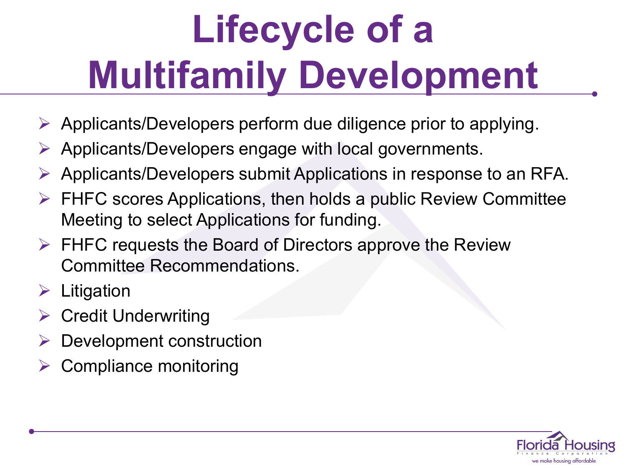# **Lifecycle of a Multifamily Development**

- $\triangleright$  Applicants/Developers perform due diligence prior to applying.
- $\triangleright$  Applicants/Developers engage with local governments.
- $\triangleright$  Applicants/Developers submit Applications in response to an RFA.
- $\triangleright$  FHFC scores Applications, then holds a public Review Committee Meeting to select Applications for funding.
- $\triangleright$  FHFC requests the Board of Directors approve the Review Committee Recommendations.
- $\triangleright$  Litigation
- $\triangleright$  Credit Underwriting
- $\triangleright$  Development construction
- Compliance monitoring

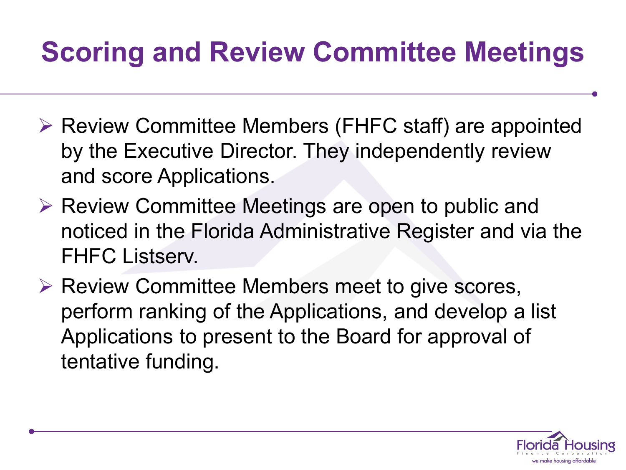## **Scoring and Review Committee Meetings**

- ▶ Review Committee Members (FHFC staff) are appointed by the Executive Director. They independently review and score Applications.
- $\triangleright$  Review Committee Meetings are open to public and noticed in the Florida Administrative Register and via the FHFC Listserv.
- $\triangleright$  Review Committee Members meet to give scores, perform ranking of the Applications, and develop a list Applications to present to the Board for approval of tentative funding.

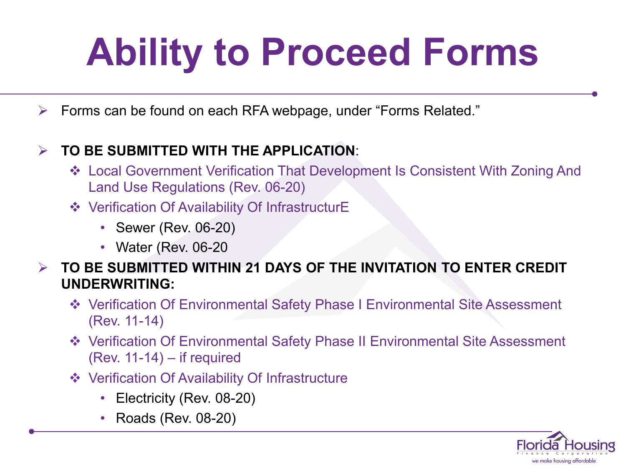# **Ability to Proceed Forms**

Forms can be found on each RFA webpage, under "Forms Related."

### **TO BE SUBMITTED WITH THE APPLICATION**:

- Local Government Verification That Development Is Consistent With Zoning And Land Use Regulations (Rev. 06-20)
- Verification Of Availability Of InfrastructurE
	- Sewer (Rev. 06-20)
	- Water (Rev. 06-20
- **TO BE SUBMITTED WITHIN 21 DAYS OF THE INVITATION TO ENTER CREDIT UNDERWRITING:**
	- Verification Of Environmental Safety Phase I Environmental Site Assessment (Rev. 11-14)
	- Verification Of Environmental Safety Phase II Environmental Site Assessment (Rev. 11-14) – if required
	- Verification Of Availability Of Infrastructure
		- Electricity (Rev. 08-20)
		- Roads (Rev. 08-20)

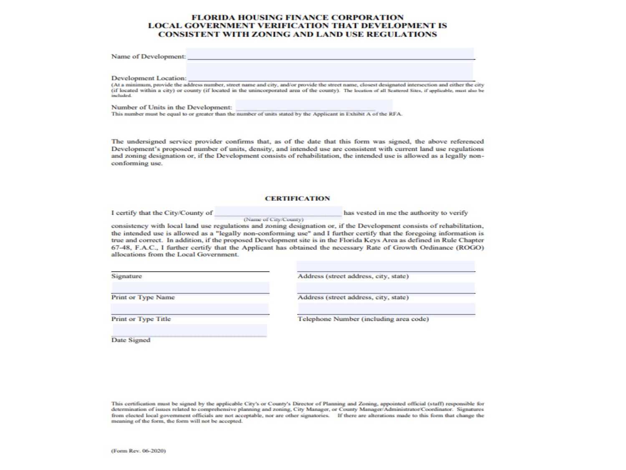#### **FLORIDA HOUSING FINANCE CORPORATION LOCAL GOVERNMENT VERIFICATION THAT DEVELOPMENT IS CONSISTENT WITH ZONING AND LAND USE REGULATIONS**

| Name of Development:                                                                                                                                         |                                                                                                                                                      |  |  |
|--------------------------------------------------------------------------------------------------------------------------------------------------------------|------------------------------------------------------------------------------------------------------------------------------------------------------|--|--|
|                                                                                                                                                              |                                                                                                                                                      |  |  |
| Development Location:                                                                                                                                        |                                                                                                                                                      |  |  |
|                                                                                                                                                              | (At a minimum, provide the address number, street name and city, and/or provide the street name, closest designated intersection and either the city |  |  |
| (if located within a city) or county (if located in the unincorporated area of the county). The location of all Seattered Sites, if applicable, must also be |                                                                                                                                                      |  |  |
| included.                                                                                                                                                    |                                                                                                                                                      |  |  |

Number of Units in the Development:

This number must be equal to or greater than the number of units stated by the Applicant in Exhibit A of the RFA.

The undersigned service provider confirms that, as of the date that this form was signed, the above referenced Development's proposed number of units, density, and intended use are consistent with current land use regulations and zoning designation or, if the Development consists of rehabilitation, the intended use is allowed as a legally nonconforming use.

#### **CERTIFICATION**

I certify that the City/County of

has vested in me the authority to verify

consistency with local land use regulations and zoning designation or, if the Development consists of rehabilitation, the intended use is allowed as a "legally non-conforming use" and I further certify that the foregoing information is true and correct. In addition, if the proposed Development site is in the Florida Keys Area as defined in Rule Chapter 67-48, F.A.C., I further certify that the Applicant has obtained the necessary Rate of Growth Ordinance (ROGO) allocations from the Local Government.

(Name of City/County)

Signature

Address (street address, city, state)

**Print or Type Name** 

Address (street address, city, state)

**Print or Type Title** 

Telephone Number (including area code)

Date Signed

This certification must be signed by the applicable City's or County's Director of Planning and Zoning, appointed official (staff) responsible for determination of issues related to comprehensive planning and zoning, City Manager, or County Manager/Administrator/Coordinator. Signatures from elected local government officials are not acceptable, nor are other signatories. If there are alterations made to this form that change the meaning of the form, the form will not be accepted.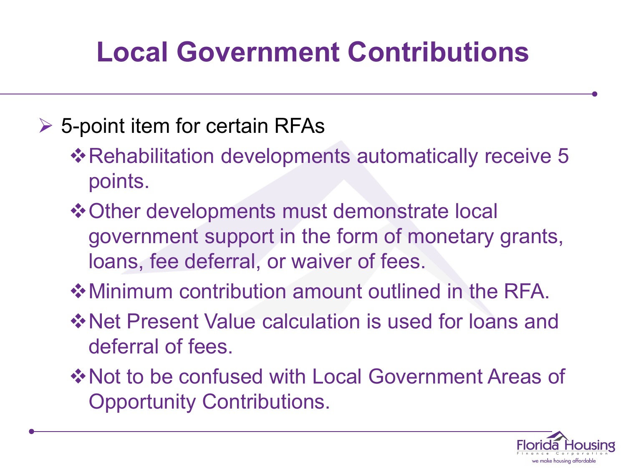## **Local Government Contributions**

### $\triangleright$  5-point item for certain RFAs

- **\***Rehabilitation developments automatically receive 5 points.
- $\diamond$  **Other developments must demonstrate local** government support in the form of monetary grants, loans, fee deferral, or waiver of fees.
- Minimum contribution amount outlined in the RFA.
- **Example: Yendon Value calculation is used for loans and** deferral of fees.
- **\*Not to be confused with Local Government Areas of** Opportunity Contributions.

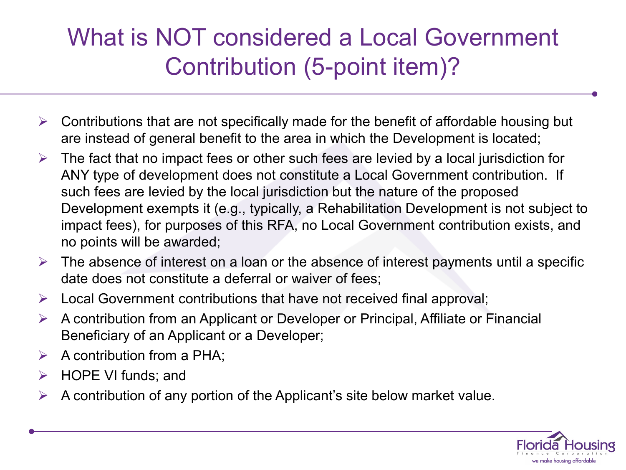### What is NOT considered a Local Government Contribution (5-point item)?

- $\triangleright$  Contributions that are not specifically made for the benefit of affordable housing but are instead of general benefit to the area in which the Development is located;
- $\triangleright$  The fact that no impact fees or other such fees are levied by a local jurisdiction for ANY type of development does not constitute a Local Government contribution. If such fees are levied by the local jurisdiction but the nature of the proposed Development exempts it (e.g., typically, a Rehabilitation Development is not subject to impact fees), for purposes of this RFA, no Local Government contribution exists, and no points will be awarded;
- $\triangleright$  The absence of interest on a loan or the absence of interest payments until a specific date does not constitute a deferral or waiver of fees;
- $\triangleright$  Local Government contributions that have not received final approval;
- $\triangleright$  A contribution from an Applicant or Developer or Principal, Affiliate or Financial Beneficiary of an Applicant or a Developer;
- $\triangleright$  A contribution from a PHA:
- $\triangleright$  HOPE VI funds; and
- $\triangleright$  A contribution of any portion of the Applicant's site below market value.

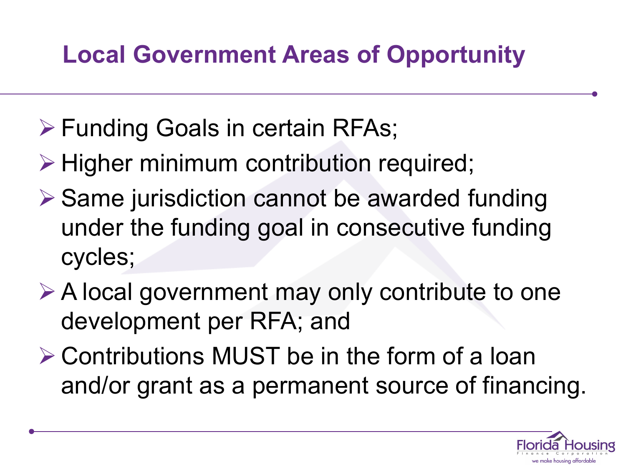## **Local Government Areas of Opportunity**

- Funding Goals in certain RFAs;
- $\triangleright$  Higher minimum contribution required;
- $\triangleright$  Same jurisdiction cannot be awarded funding under the funding goal in consecutive funding cycles;
- **E** A local government may only contribute to one development per RFA; and
- Contributions MUST be in the form of a loan and/or grant as a permanent source of financing.

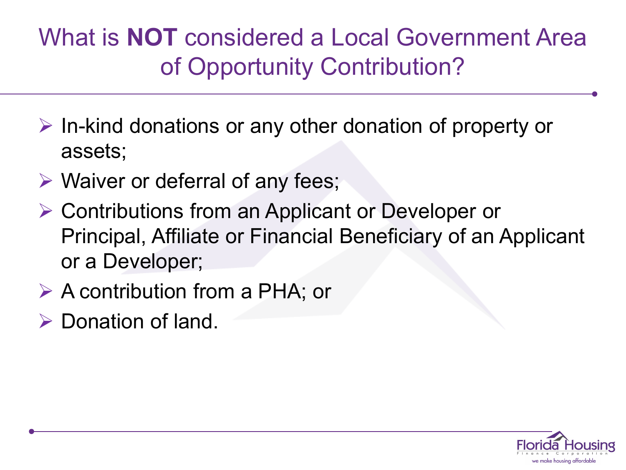### What is **NOT** considered a Local Government Area of Opportunity Contribution?

- $\triangleright$  In-kind donations or any other donation of property or assets;
- $\triangleright$  Waiver or deferral of any fees;
- **▶ Contributions from an Applicant or Developer or** Principal, Affiliate or Financial Beneficiary of an Applicant or a Developer;
- $\triangleright$  A contribution from a PHA; or
- $\triangleright$  Donation of land.

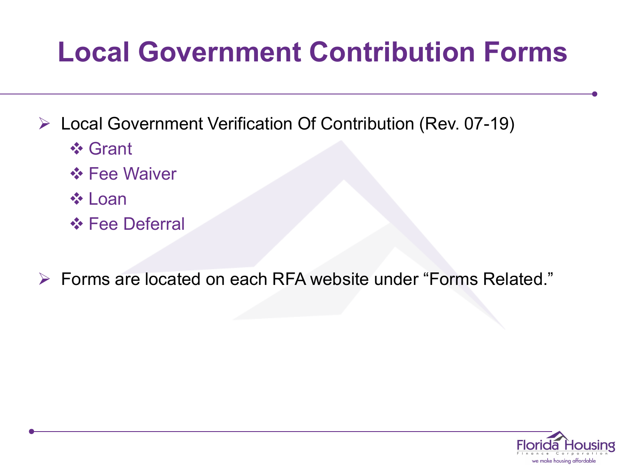## **Local Government Contribution Forms**

Local Government Verification Of Contribution (Rev. 07-19)

- **❖ Grant**
- **❖ Fee Waiver**
- **☆ Loan**
- **❖ Fee Deferral**

Forms are located on each RFA website under "Forms Related."

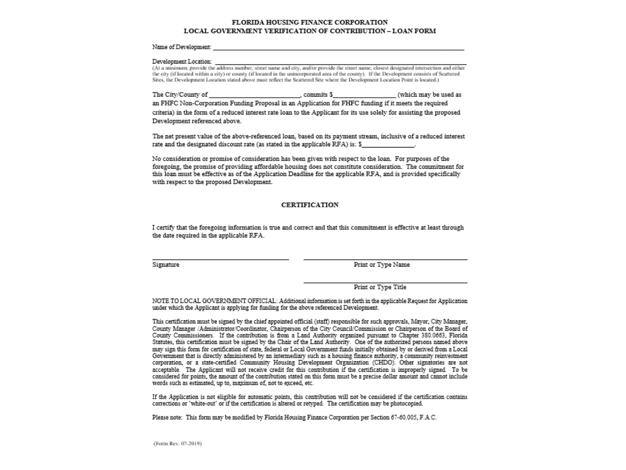#### FLORIDA HOUSING FINANCE CORPORATION LOCAL GOVERNMENT VERIFICATION OF CONTRIBUTION-LOAN FORM

#### Name of Development:

#### Development Location:

(At a minimum, provide the address number, street name and eity, and/or provide the street name, closest designated intersection and either the city (if located within a city) or county (if located in the unincorporated area of the county). If the Development consists of Scattered Sites, the Development Location stated above must reflect the Scattered Site where the Development Location Point is located.)

The City/County of (which may be used as . commits \$

an FHFC Non-Corporation Funding Proposal in an Application for FHFC funding if it meets the required

criteria) in the form of a reduced interest rate loan to the Applicant for its use solely for assisting the proposed Development referenced above.

The net present value of the above-referenced loan, based on its payment stream, inclusive of a reduced interest rate and the designated discount rate (as stated in the applicable RFA) is: \$

No consideration or promise of consideration has been given with respect to the loan. For purposes of the foregoing, the promise of providing affordable housing does not constitute consideration. The commitment for this loan must be effective as of the Application Deadline for the applicable RFA, and is provided specifically with respect to the proposed Development.

#### **CERTIFICATION**

I certify that the foregoing information is true and correct and that this commitment is effective at least through the date required in the applicable RFA.

Signature

Print or Type Name

Print or Type Title

NOTE TO LOCAL GOVERNMENT OFFICIAL: Additional information is set forth in the applicable Request for Application under which the Applicant is applying for funding for the above referenced Development.

This certification must be signed by the chief appointed official (staff) responsible for such approvals. Mayor, City Manager, County Manager /Administrator/Coordinator, Chairperson of the City Council/Commission or Chairperson of the Board of County Commissioners. If the contribution is from a Land Authority organized pursuant to Chapter 380.0663, Florida Statutes, this certification must be signed by the Chair of the Land Authority. One of the authorized persons named above may sign this form for certification of state, federal or Local Government funds initially obtained by or derived from a Local Government that is directly administered by an intermediary such as a housing finance authority, a community reinvestment corporation, or a state-certified Community Housing Development Organization (CHDO). Other signatories are not acceptable. The Applicant will not receive credit for this contribution if the certification is improperly signed. To be considered for points, the amount of the contribution stated on this form must be a precise dollar amount and cannot include words such as estimated, up to, maximum of, not to exceed, etc.

If the Application is not eligible for automatic points, this contribution will not be considered if the certification contains corrections or 'white-out' or if the certification is altered or retyped. The certification may be photocopied.

Please note: This form may be modified by Florida Housing Finance Corporation per Section 67-60.005, F.A.C.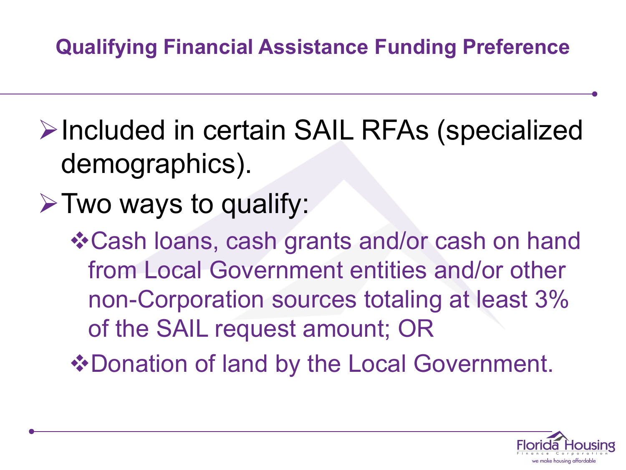### **Qualifying Financial Assistance Funding Preference**

- **Example 12 Ferry 2014** FIRE AS (specialized demographics).
- $\triangleright$  Two ways to qualify:

Cash loans, cash grants and/or cash on hand from Local Government entities and/or other non-Corporation sources totaling at least 3% of the SAIL request amount; OR

◆ Donation of land by the Local Government.

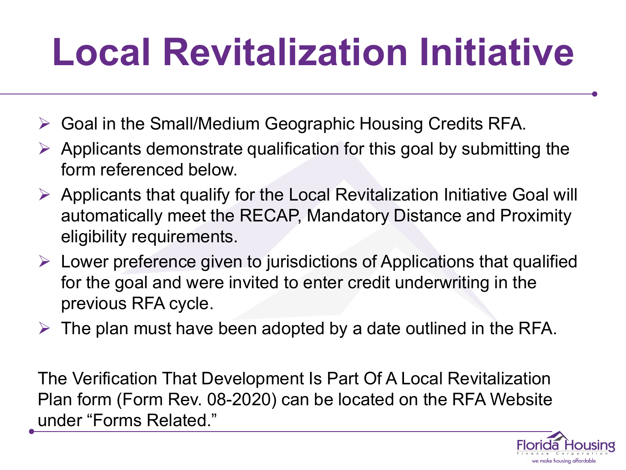# **Local Revitalization Initiative**

- Goal in the Small/Medium Geographic Housing Credits RFA.
- $\triangleright$  Applicants demonstrate qualification for this goal by submitting the form referenced below.
- $\triangleright$  Applicants that qualify for the Local Revitalization Initiative Goal will automatically meet the RECAP, Mandatory Distance and Proximity eligibility requirements.
- $\triangleright$  Lower preference given to jurisdictions of Applications that qualified for the goal and were invited to enter credit underwriting in the previous RFA cycle.
- $\triangleright$  The plan must have been adopted by a date outlined in the RFA.

The Verification That Development Is Part Of A Local Revitalization Plan form (Form Rev. 08-2020) can be located on the RFA Website under "Forms Related."

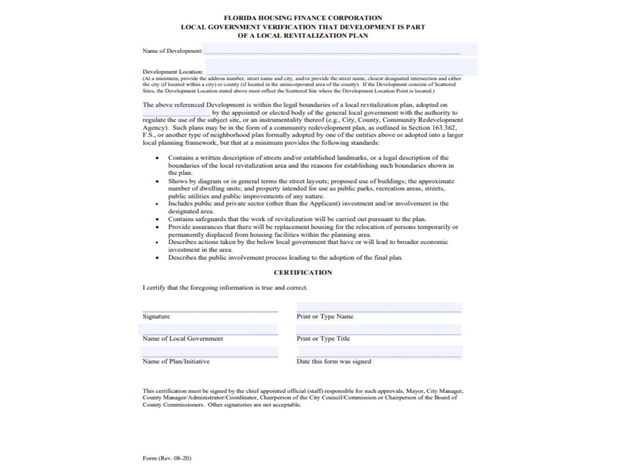#### **FLORIDA HOUSING FINANCE CORPORATION LOCAL GOVERNMENT VERIFICATION THAT DEVELOPMENT IS PART** OF A LOCAL REVITALIZATION PLAN

#### Name of Development:

#### **Development Location:**

(At a minimum, provide the address number, street name and city, and/or provide the street name, closest designated intersection and either the city (if located within a city) or county (if located in the unincorporated area of the county). If the Development consists of Scattered Sites, the Development Location stated above must reflect the Scattered Site where the Development Location Point is located.)

The above referenced Development is within the legal boundaries of a local revitalization plan, adopted on

by the appointed or elected body of the general local government with the authority to regulate the use of the subject site, or an instrumentality thereof (e.g., City, County, Community Redevelopment Agency). Such plans may be in the form of a community redevelopment plan, as outlined in Section 163.362, F.S., or another type of neighborhood plan formally adopted by one of the entities above or adopted into a larger local planning framework, but that at a minimum provides the following standards:

- $\bullet$ Contains a written description of streets and/or established landmarks, or a legal description of the boundaries of the local revitalization area and the reasons for establishing such boundaries shown in the plan.
- ٠ Shows by diagram or in general terms the street layouts; proposed use of buildings; the approximate number of dwelling units; and property intended for use as public parks, recreation areas, streets, public utilities and public improvements of any nature.
- Includes public and private sector (other than the Applicant) investment and/or involvement in the ٠ designated area.
- Contains safeguards that the work of revitalization will be carried out pursuant to the plan.
- ٠ Provide assurances that there will be replacement housing for the relocation of persons temporarily or permanently displaced from housing facilities within the planning area.
- Describes actions taken by the below local government that have or will lead to broader economic ٠ investment in the area.
- Describes the public involvement process leading to the adoption of the final plan. ٠

#### **CERTIFICATION**

I certify that the foregoing information is true and correct.

| Signature                | Print or Type Name         |
|--------------------------|----------------------------|
| Name of Local Government | <b>Print or Type Title</b> |
| Name of Plan/Initiative  | Date this form was signed  |

This certification must be signed by the chief appointed official (staff) responsible for such approvals, Mayor, City Manager, County Manager/Administrator/Coordinator, Chairperson of the City Council/Commission or Chairperson of the Board of County Commissioners. Other signatories are not acceptable.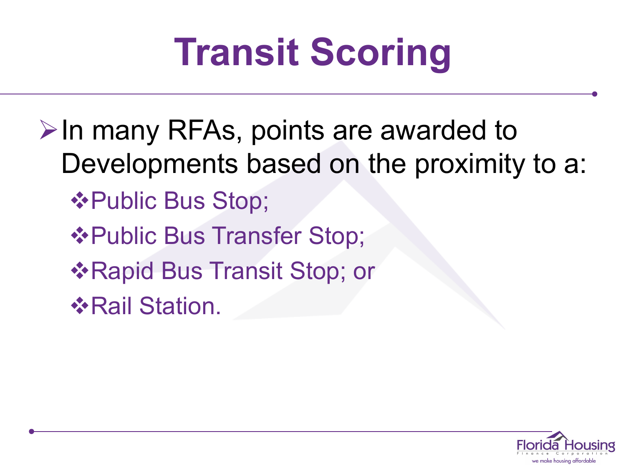# **Transit Scoring**

 $\triangleright$  In many RFAs, points are awarded to Developments based on the proximity to a: **☆Public Bus Stop; ☆Public Bus Transfer Stop; \*Rapid Bus Transit Stop; or ☆Rail Station.** 

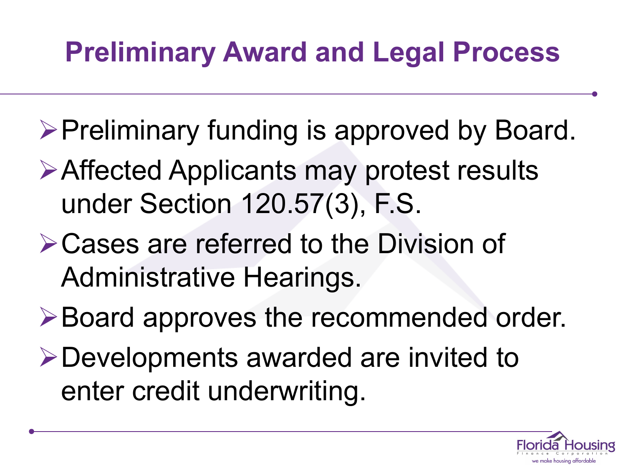## **Preliminary Award and Legal Process**

- $\triangleright$  Preliminary funding is approved by Board.
- Affected Applicants may protest results under Section 120.57(3), F.S.
- **≻Cases are referred to the Division of** Administrative Hearings.
- **≻Board approves the recommended order.**
- Developments awarded are invited to enter credit underwriting.

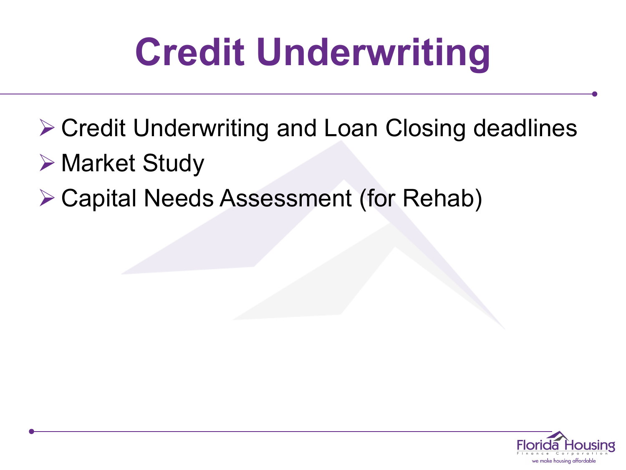# **Credit Underwriting**

- **≻ Credit Underwriting and Loan Closing deadlines**
- Market Study
- **≻ Capital Needs Assessment (for Rehab)**

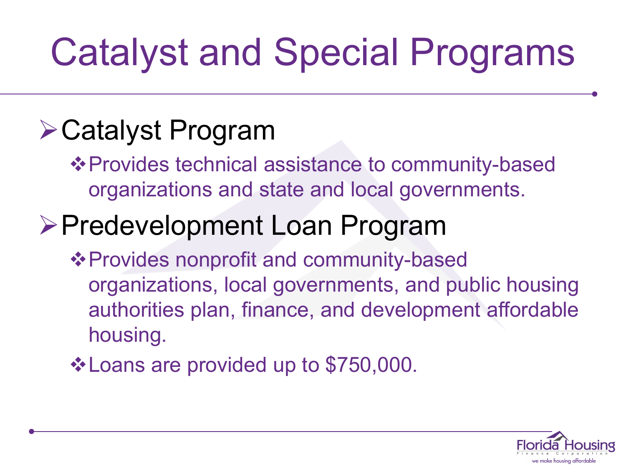# Catalyst and Special Programs

## Catalyst Program

❖ Provides technical assistance to community-based organizations and state and local governments.

## Predevelopment Loan Program

- **❖ Provides nonprofit and community-based** organizations, local governments, and public housing authorities plan, finance, and development affordable housing.
- Loans are provided up to \$750,000.

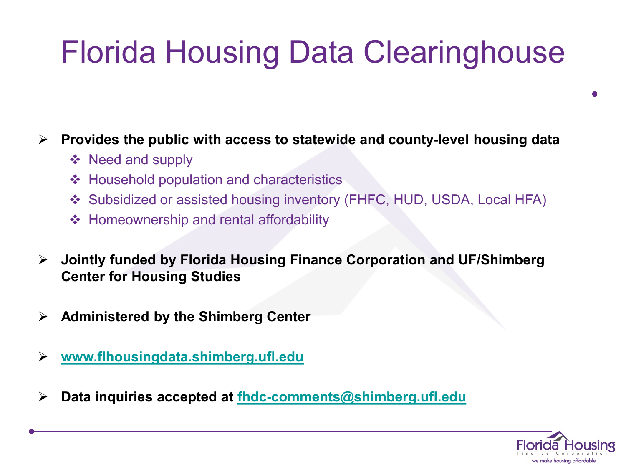## Florida Housing Data Clearinghouse

### **Provides the public with access to statewide and county-level housing data**

- ❖ Need and supply
- Household population and characteristics
- ◆ Subsidized or assisted housing inventory (FHFC, HUD, USDA, Local HFA)
- ❖ Homeownership and rental affordability
- **Jointly funded by Florida Housing Finance Corporation and UF/Shimberg Center for Housing Studies**
- **Administered by the Shimberg Center**
- **[www.flhousingdata.shimberg.ufl.edu](http://www.flhousingdata.shimberg.ufl.edu/)**
- **Data inquiries accepted at [fhdc-comments@shimberg.ufl.edu](mailto:fhdc-comments@shimberg.ufl.edu)**

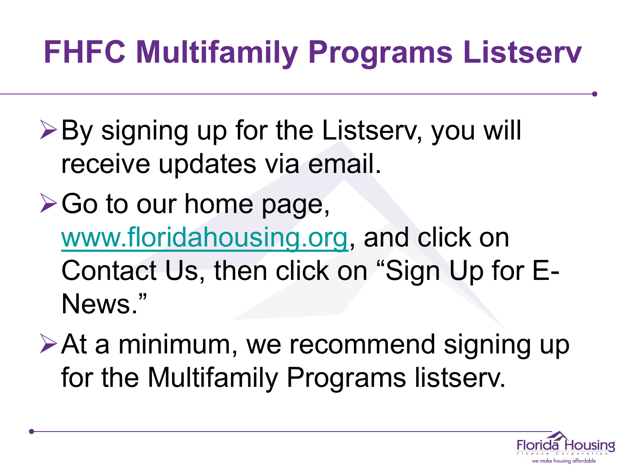## **FHFC Multifamily Programs Listserv**

- **≻By signing up for the Listserv, you will** receive updates via email.
- $\triangleright$  Go to our home page, [www.floridahousing.org,](http://www.floridahousing.org/) and click on Contact Us, then click on "Sign Up for E-News."
- **≻At a minimum, we recommend signing up** for the Multifamily Programs listserv.

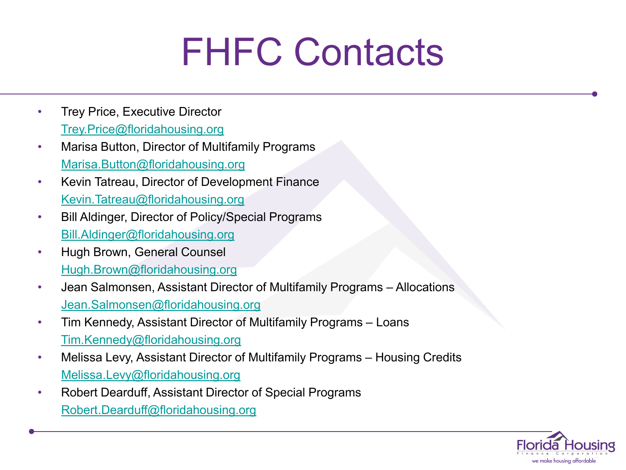## FHFC Contacts

- Trey Price, Executive Director [Trey.Price@floridahousing.org](mailto:Trey.Price@floridahousing.org)
- Marisa Button, Director of Multifamily Programs [Marisa.Button@floridahousing.org](mailto:Marisa.Button@floridahousing.org)
- Kevin Tatreau, Director of Development Finance [Kevin.Tatreau@floridahousing.org](mailto:Kevin.Tatreau@floridahousing.org)
- Bill Aldinger, Director of Policy/Special Programs [Bill.Aldinger@floridahousing.org](mailto:Bill.Aldinger@floridahousing.org)
- Hugh Brown, General Counsel [Hugh.Brown@floridahousing.org](mailto:Hugh.Brown@floridahousing.org)
- Jean Salmonsen, Assistant Director of Multifamily Programs Allocations [Jean.Salmonsen@floridahousing.org](mailto:Jean.Salmonsen@floridahousing.org)
- Tim Kennedy, Assistant Director of Multifamily Programs Loans [Tim.Kennedy@floridahousing.org](mailto:Tim.Kennedy@floridahousing.org)
- Melissa Levy, Assistant Director of Multifamily Programs Housing Credits [Melissa.Levy@floridahousing.org](mailto:Melissa.Levy@floridahousing.org)
- Robert Dearduff, Assistant Director of Special Programs [Robert.Dearduff@floridahousing.org](mailto:Robert.Dearduff@floridahousing.org)